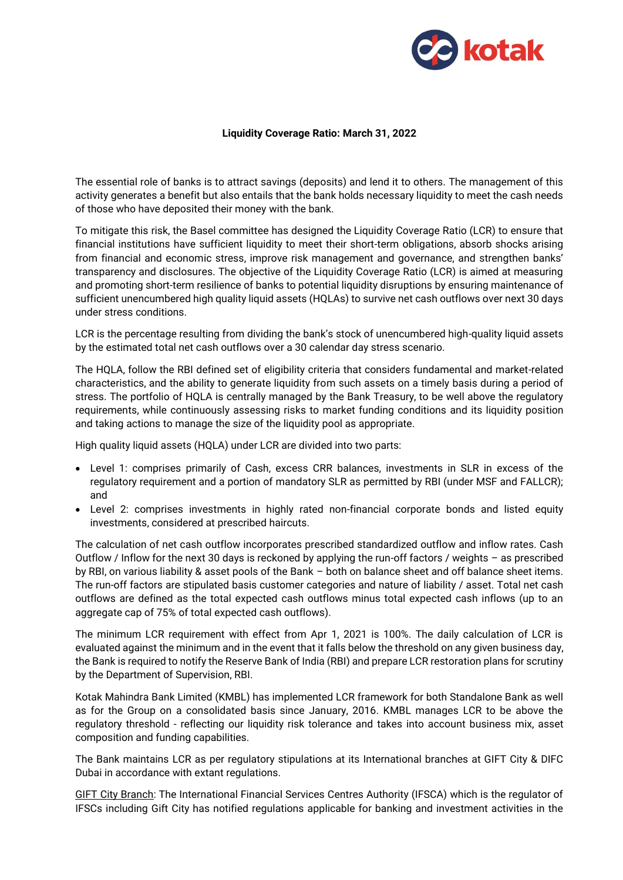

## **Liquidity Coverage Ratio: March 31, 2022**

The essential role of banks is to attract savings (deposits) and lend it to others. The management of this activity generates a benefit but also entails that the bank holds necessary liquidity to meet the cash needs of those who have deposited their money with the bank.

To mitigate this risk, the Basel committee has designed the Liquidity Coverage Ratio (LCR) to ensure that financial institutions have sufficient liquidity to meet their short-term obligations, absorb shocks arising from financial and economic stress, improve risk management and governance, and strengthen banks' transparency and disclosures. The objective of the Liquidity Coverage Ratio (LCR) is aimed at measuring and promoting short-term resilience of banks to potential liquidity disruptions by ensuring maintenance of sufficient unencumbered high quality liquid assets (HQLAs) to survive net cash outflows over next 30 days under stress conditions.

LCR is the percentage resulting from dividing the bank's stock of unencumbered high-quality liquid assets by the estimated total net cash outflows over a 30 calendar day stress scenario.

The HQLA, follow the RBI defined set of eligibility criteria that considers fundamental and market-related characteristics, and the ability to generate liquidity from such assets on a timely basis during a period of stress. The portfolio of HQLA is centrally managed by the Bank Treasury, to be well above the regulatory requirements, while continuously assessing risks to market funding conditions and its liquidity position and taking actions to manage the size of the liquidity pool as appropriate.

High quality liquid assets (HQLA) under LCR are divided into two parts:

- Level 1: comprises primarily of Cash, excess CRR balances, investments in SLR in excess of the regulatory requirement and a portion of mandatory SLR as permitted by RBI (under MSF and FALLCR); and
- Level 2: comprises investments in highly rated non-financial corporate bonds and listed equity investments, considered at prescribed haircuts.

The calculation of net cash outflow incorporates prescribed standardized outflow and inflow rates. Cash Outflow / Inflow for the next 30 days is reckoned by applying the run-off factors / weights – as prescribed by RBI, on various liability & asset pools of the Bank – both on balance sheet and off balance sheet items. The run-off factors are stipulated basis customer categories and nature of liability / asset. Total net cash outflows are defined as the total expected cash outflows minus total expected cash inflows (up to an aggregate cap of 75% of total expected cash outflows).

The minimum LCR requirement with effect from Apr 1, 2021 is 100%. The daily calculation of LCR is evaluated against the minimum and in the event that it falls below the threshold on any given business day, the Bank is required to notify the Reserve Bank of India (RBI) and prepare LCR restoration plans for scrutiny by the Department of Supervision, RBI.

Kotak Mahindra Bank Limited (KMBL) has implemented LCR framework for both Standalone Bank as well as for the Group on a consolidated basis since January, 2016. KMBL manages LCR to be above the regulatory threshold - reflecting our liquidity risk tolerance and takes into account business mix, asset composition and funding capabilities.

The Bank maintains LCR as per regulatory stipulations at its International branches at GIFT City & DIFC Dubai in accordance with extant regulations.

GIFT City Branch: The International Financial Services Centres Authority (IFSCA) which is the regulator of IFSCs including Gift City has notified regulations applicable for banking and investment activities in the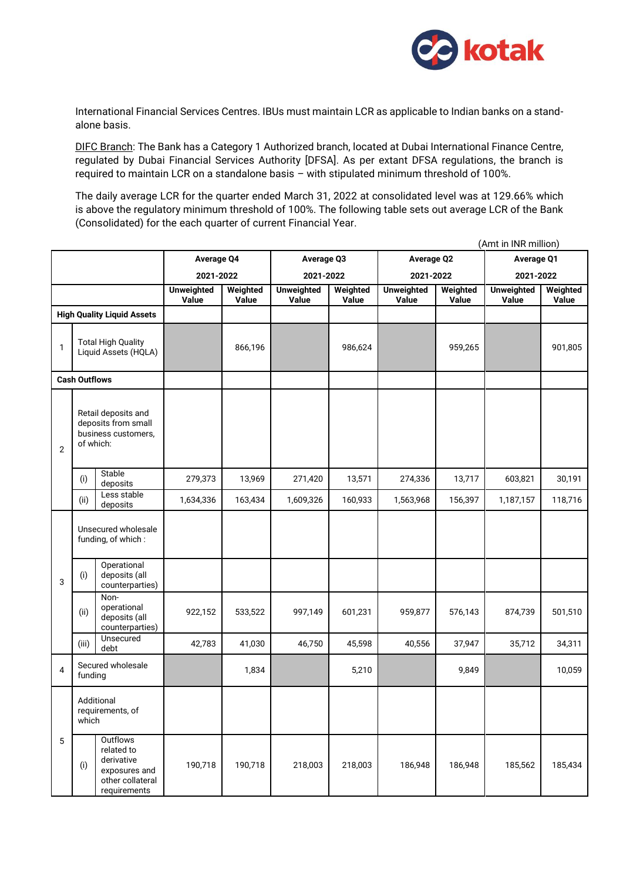

International Financial Services Centres. IBUs must maintain LCR as applicable to Indian banks on a standalone basis.

DIFC Branch: The Bank has a Category 1 Authorized branch, located at Dubai International Finance Centre, regulated by Dubai Financial Services Authority [DFSA]. As per extant DFSA regulations, the branch is required to maintain LCR on a standalone basis – with stipulated minimum threshold of 100%.

The daily average LCR for the quarter ended March 31, 2022 at consolidated level was at 129.66% which is above the regulatory minimum threshold of 100%. The following table sets out average LCR of the Bank (Consolidated) for the each quarter of current Financial Year.

|                                   | (Amt in INR million)                                                           |                                                                                           |                            |                   |                            |                   |                            |                   |                            |                   |
|-----------------------------------|--------------------------------------------------------------------------------|-------------------------------------------------------------------------------------------|----------------------------|-------------------|----------------------------|-------------------|----------------------------|-------------------|----------------------------|-------------------|
|                                   |                                                                                |                                                                                           | <b>Average Q4</b>          |                   | Average Q3                 |                   | <b>Average Q2</b>          |                   | <b>Average Q1</b>          |                   |
|                                   |                                                                                |                                                                                           | 2021-2022                  |                   | 2021-2022                  |                   | 2021-2022                  |                   | 2021-2022                  |                   |
|                                   |                                                                                |                                                                                           | <b>Unweighted</b><br>Value | Weighted<br>Value | <b>Unweighted</b><br>Value | Weighted<br>Value | <b>Unweighted</b><br>Value | Weighted<br>Value | <b>Unweighted</b><br>Value | Weighted<br>Value |
| <b>High Quality Liquid Assets</b> |                                                                                |                                                                                           |                            |                   |                            |                   |                            |                   |                            |                   |
| $\mathbf{1}$                      | <b>Total High Quality</b><br>Liquid Assets (HQLA)                              |                                                                                           |                            | 866,196           |                            | 986,624           |                            | 959,265           |                            | 901,805           |
| <b>Cash Outflows</b>              |                                                                                |                                                                                           |                            |                   |                            |                   |                            |                   |                            |                   |
| 2                                 | Retail deposits and<br>deposits from small<br>business customers,<br>of which: |                                                                                           |                            |                   |                            |                   |                            |                   |                            |                   |
|                                   | (i)                                                                            | Stable<br>deposits                                                                        | 279,373                    | 13,969            | 271,420                    | 13,571            | 274,336                    | 13,717            | 603,821                    | 30,191            |
|                                   | (ii)                                                                           | Less stable<br>deposits                                                                   | 1,634,336                  | 163,434           | 1,609,326                  | 160,933           | 1,563,968                  | 156,397           | 1,187,157                  | 118,716           |
| 3                                 | Unsecured wholesale<br>funding, of which:                                      |                                                                                           |                            |                   |                            |                   |                            |                   |                            |                   |
|                                   | (i)                                                                            | Operational<br>deposits (all<br>counterparties)                                           |                            |                   |                            |                   |                            |                   |                            |                   |
|                                   | (ii)                                                                           | Non-<br>operational<br>deposits (all<br>counterparties)                                   | 922,152                    | 533,522           | 997,149                    | 601,231           | 959,877                    | 576,143           | 874,739                    | 501,510           |
|                                   | (iii)                                                                          | Unsecured<br>debt                                                                         | 42,783                     | 41,030            | 46,750                     | 45,598            | 40,556                     | 37,947            | 35,712                     | 34,311            |
| 4                                 | Secured wholesale<br>funding                                                   |                                                                                           |                            | 1,834             |                            | 5,210             |                            | 9,849             |                            | 10,059            |
|                                   | Additional<br>requirements, of<br>which                                        |                                                                                           |                            |                   |                            |                   |                            |                   |                            |                   |
| 5                                 | (i)                                                                            | Outflows<br>related to<br>derivative<br>exposures and<br>other collateral<br>requirements | 190,718                    | 190,718           | 218,003                    | 218,003           | 186,948                    | 186,948           | 185,562                    | 185,434           |